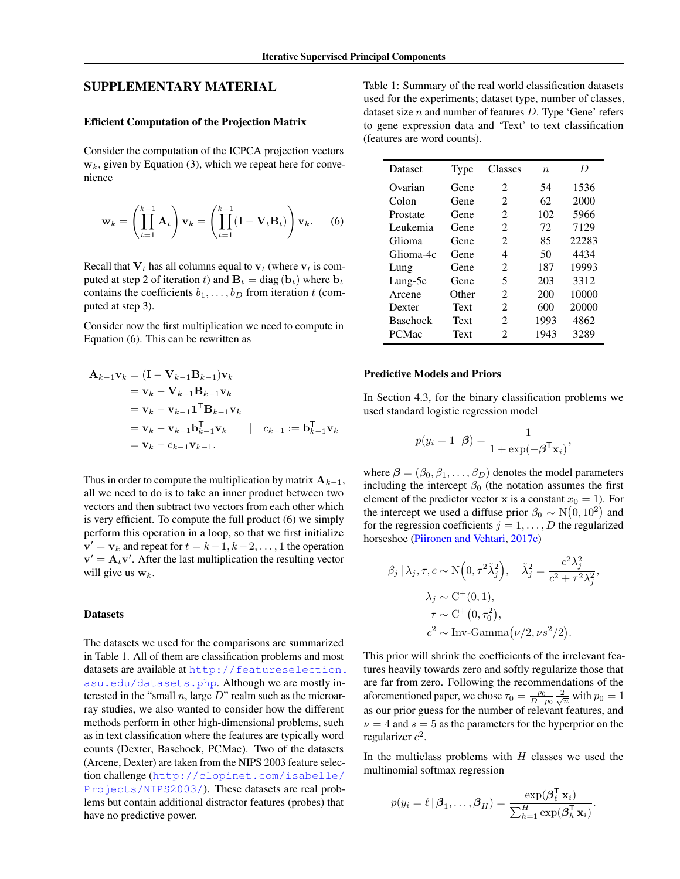# SUPPLEMENTARY MATERIAL

## Efficient Computation of the Projection Matrix

Consider the computation of the ICPCA projection vectors  $w<sub>k</sub>$ , given by Equation [\(3\)](#page--1-0), which we repeat here for convenience

$$
\mathbf{w}_k = \left(\prod_{t=1}^{k-1} \mathbf{A}_t\right) \mathbf{v}_k = \left(\prod_{t=1}^{k-1} (\mathbf{I} - \mathbf{V}_t \mathbf{B}_t)\right) \mathbf{v}_k. \tag{6}
$$

Recall that  $V_t$  has all columns equal to  $v_t$  (where  $v_t$  is computed at step 2 of iteration t) and  $\mathbf{B}_t = \text{diag}(\mathbf{b}_t)$  where  $\mathbf{b}_t$ contains the coefficients  $b_1, \ldots, b_D$  from iteration t (computed at step 3).

Consider now the first multiplication we need to compute in Equation [\(6\)](#page-0-0). This can be rewritten as

$$
\mathbf{A}_{k-1}\mathbf{v}_k = (\mathbf{I} - \mathbf{V}_{k-1}\mathbf{B}_{k-1})\mathbf{v}_k \n= \mathbf{v}_k - \mathbf{V}_{k-1}\mathbf{B}_{k-1}\mathbf{v}_k \n= \mathbf{v}_k - \mathbf{v}_{k-1}\mathbf{1}^{\mathsf{T}}\mathbf{B}_{k-1}\mathbf{v}_k \n= \mathbf{v}_k - \mathbf{v}_{k-1}\mathbf{b}_{k-1}^{\mathsf{T}}\mathbf{v}_k \qquad | \quad c_{k-1} := \mathbf{b}_{k-1}^{\mathsf{T}}\mathbf{v}_k \n= \mathbf{v}_k - c_{k-1}\mathbf{v}_{k-1}.
$$

Thus in order to compute the multiplication by matrix  $A_{k-1}$ , all we need to do is to take an inner product between two vectors and then subtract two vectors from each other which is very efficient. To compute the full product [\(6\)](#page-0-0) we simply perform this operation in a loop, so that we first initialize  ${\bf v}'={\bf v}_k$  and repeat for  $t=k-1, k-2, \ldots, 1$  the operation  $v' = A_t v'$ . After the last multiplication the resulting vector will give us  $w_k$ .

#### **Datasets**

The datasets we used for the comparisons are summarized in Table [1.](#page-0-1) All of them are classification problems and most datasets are available at [http://featureselection.](http://featureselection.asu.edu/datasets.php) [asu.edu/datasets.php](http://featureselection.asu.edu/datasets.php). Although we are mostly interested in the "small  $n$ , large  $D$ " realm such as the microarray studies, we also wanted to consider how the different methods perform in other high-dimensional problems, such as in text classification where the features are typically word counts (Dexter, Basehock, PCMac). Two of the datasets (Arcene, Dexter) are taken from the NIPS 2003 feature selection challenge ([http://clopinet.com/isabelle/](http://clopinet.com/isabelle/Projects/NIPS2003/) [Projects/NIPS2003/](http://clopinet.com/isabelle/Projects/NIPS2003/)). These datasets are real problems but contain additional distractor features (probes) that have no predictive power.

<span id="page-0-1"></span>Table 1: Summary of the real world classification datasets used for the experiments; dataset type, number of classes, dataset size  $n$  and number of features  $D$ . Type 'Gene' refers to gene expression data and 'Text' to text classification (features are word counts).

<span id="page-0-0"></span>

| Dataset         | Type  | Classes                     | $\boldsymbol{n}$ | D     |  |
|-----------------|-------|-----------------------------|------------------|-------|--|
| Ovarian         | Gene  | $\mathcal{D}_{\mathcal{L}}$ | 54               | 1536  |  |
| Colon           | Gene  | 2                           | 62               | 2000  |  |
| Prostate        | Gene  | 2                           | 102              | 5966  |  |
| Leukemia        | Gene  | $\mathcal{D}_{\mathcal{L}}$ | 72               | 7129  |  |
| Glioma          | Gene  | $\mathcal{D}_{\mathcal{L}}$ | 85               | 22283 |  |
| Glioma-4c       | Gene  | 4                           | 50               | 4434  |  |
| Lung            | Gene  | 2                           | 187              | 19993 |  |
| Lung-5c         | Gene  | 5                           | 203              | 3312  |  |
| Arcene          | Other | $\mathcal{D}_{\mathcal{L}}$ | 200              | 10000 |  |
| Dexter          | Text  | 2                           | 600              | 20000 |  |
| <b>Basehock</b> | Text  | 2                           | 1993             | 4862  |  |
| <b>PCMac</b>    | Text  | 2                           | 1943             | 3289  |  |

### Predictive Models and Priors

In Section [4.3,](#page--1-1) for the binary classification problems we used standard logistic regression model

$$
p(y_i = 1 | \boldsymbol{\beta}) = \frac{1}{1 + \exp(-\boldsymbol{\beta}^{\mathsf{T}} \mathbf{x}_i)},
$$

where  $\beta = (\beta_0, \beta_1, \dots, \beta_D)$  denotes the model parameters including the intercept  $\beta_0$  (the notation assumes the first element of the predictor vector **x** is a constant  $x_0 = 1$ ). For the intercept we used a diffuse prior  $\beta_0 \sim N(0, 10^2)$  and for the regression coefficients  $j = 1, \ldots, D$  the regularized horseshoe [\(Piironen and Vehtari,](#page--1-2) [2017c\)](#page--1-2)

$$
\beta_j | \lambda_j, \tau, c \sim \mathcal{N}\Big(0, \tau^2 \tilde{\lambda}_j^2\Big), \quad \tilde{\lambda}_j^2 = \frac{c^2 \lambda_j^2}{c^2 + \tau^2 \lambda_j^2},
$$

$$
\lambda_j \sim \mathcal{C}^+(0, 1),
$$

$$
\tau \sim \mathcal{C}^+(0, \tau_0^2),
$$

$$
c^2 \sim \text{Inv-Gamma}\big(\nu/2, \nu s^2/2\big).
$$

This prior will shrink the coefficients of the irrelevant features heavily towards zero and softly regularize those that are far from zero. Following the recommendations of the aforementioned paper, we chose  $\tau_0 = \frac{p_0}{D - p_0} \frac{2}{\sqrt{n}}$  with  $p_0 = 1$ as our prior guess for the number of relevant features, and  $\nu = 4$  and  $s = 5$  as the parameters for the hyperprior on the regularizer  $c^2$ .

In the multiclass problems with  $H$  classes we used the multinomial softmax regression

$$
p(y_i = \ell | \beta_1, \dots, \beta_H) = \frac{\exp(\beta_{\ell}^{\mathsf{T}} \mathbf{x}_i)}{\sum_{h=1}^H \exp(\beta_h^{\mathsf{T}} \mathbf{x}_i)}.
$$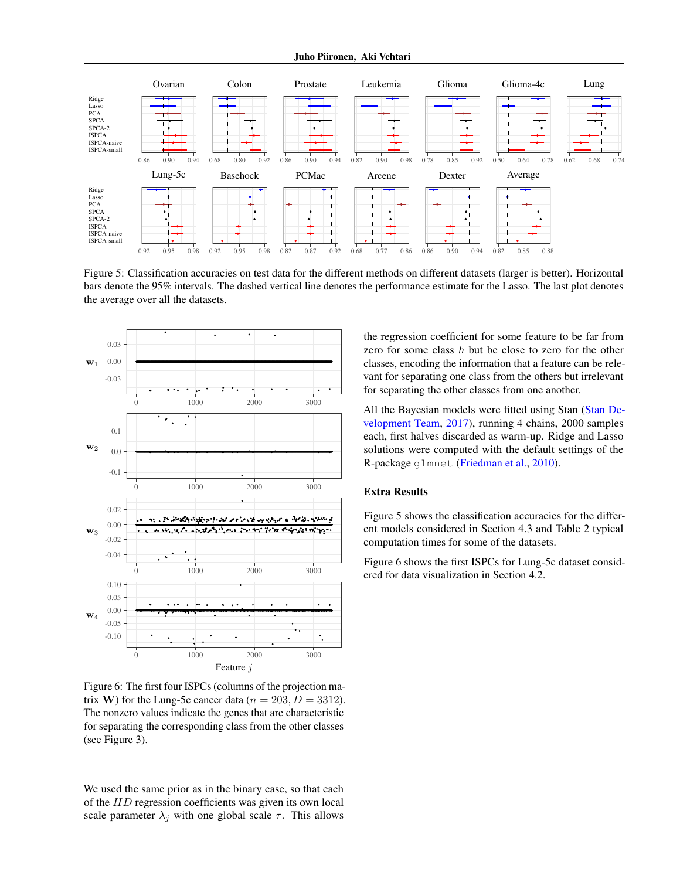<span id="page-1-0"></span>

Figure 5: Classification accuracies on test data for the different methods on different datasets (larger is better). Horizontal bars denote the 95% intervals. The dashed vertical line denotes the performance estimate for the Lasso. The last plot denotes the average over all the datasets.

<span id="page-1-1"></span>

Figure 6: The first four ISPCs (columns of the projection matrix W) for the Lung-5c cancer data ( $n = 203, D = 3312$ ). The nonzero values indicate the genes that are characteristic for separating the corresponding class from the other classes (see Figure [3\)](#page--1-3).

We used the same prior as in the binary case, so that each of the HD regression coefficients was given its own local scale parameter  $\lambda_j$  with one global scale  $\tau$ . This allows

the regression coefficient for some feature to be far from zero for some class h but be close to zero for the other classes, encoding the information that a feature can be relevant for separating one class from the others but irrelevant for separating the other classes from one another.

All the Bayesian models were fitted using Stan [\(Stan De](#page--1-4)[velopment Team,](#page--1-4) [2017\)](#page--1-4), running 4 chains, 2000 samples each, first halves discarded as warm-up. Ridge and Lasso solutions were computed with the default settings of the R-package glmnet [\(Friedman et al.,](#page--1-5) [2010\)](#page--1-5).

## Extra Results

Figure [5](#page-1-0) shows the classification accuracies for the different models considered in Section [4.3](#page--1-1) and Table [2](#page-2-0) typical computation times for some of the datasets.

Figure [6](#page-1-1) shows the first ISPCs for Lung-5c dataset considered for data visualization in Section [4.2.](#page--1-6)